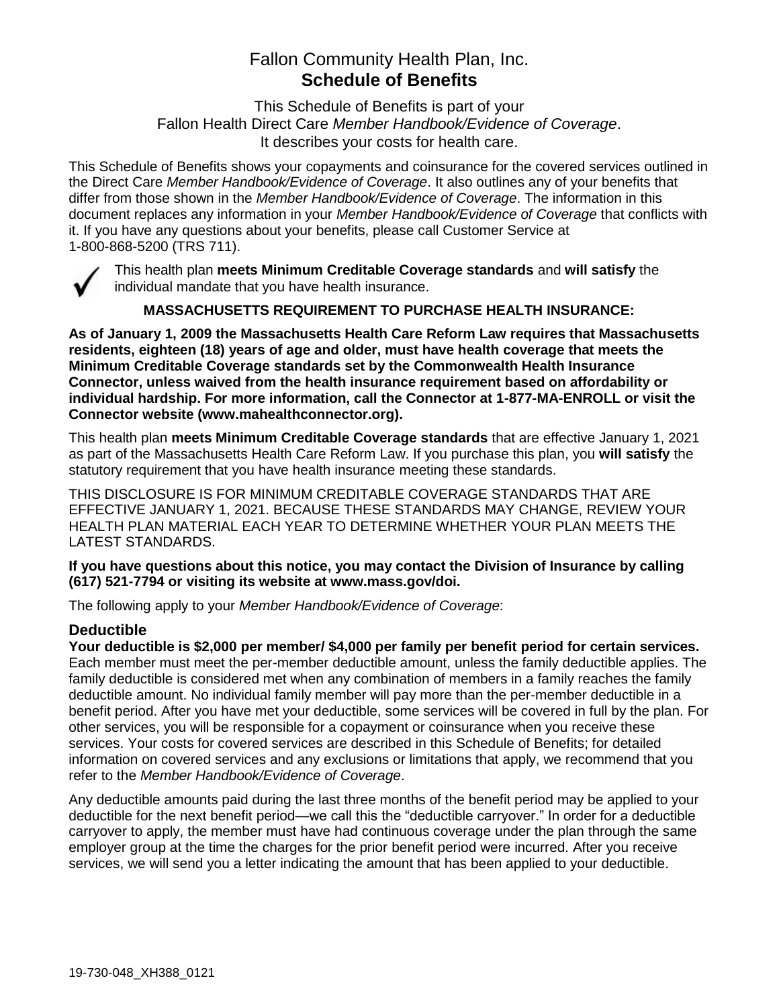# Fallon Community Health Plan, Inc. **Schedule of Benefits**

This Schedule of Benefits is part of your Fallon Health Direct Care *Member Handbook/Evidence of Coverage*. It describes your costs for health care.

This Schedule of Benefits shows your copayments and coinsurance for the covered services outlined in the Direct Care *Member Handbook/Evidence of Coverage*. It also outlines any of your benefits that differ from those shown in the *Member Handbook/Evidence of Coverage*. The information in this document replaces any information in your *Member Handbook/Evidence of Coverage* that conflicts with it. If you have any questions about your benefits, please call Customer Service at 1-800-868-5200 (TRS 711).



This health plan **meets Minimum Creditable Coverage standards** and **will satisfy** the individual mandate that you have health insurance.

**MASSACHUSETTS REQUIREMENT TO PURCHASE HEALTH INSURANCE:**

**As of January 1, 2009 the Massachusetts Health Care Reform Law requires that Massachusetts residents, eighteen (18) years of age and older, must have health coverage that meets the Minimum Creditable Coverage standards set by the Commonwealth Health Insurance Connector, unless waived from the health insurance requirement based on affordability or individual hardship. For more information, call the Connector at 1-877-MA-ENROLL or visit the Connector website (www.mahealthconnector.org).**

This health plan **meets Minimum Creditable Coverage standards** that are effective January 1, 2021 as part of the Massachusetts Health Care Reform Law. If you purchase this plan, you **will satisfy** the statutory requirement that you have health insurance meeting these standards.

THIS DISCLOSURE IS FOR MINIMUM CREDITABLE COVERAGE STANDARDS THAT ARE EFFECTIVE JANUARY 1, 2021. BECAUSE THESE STANDARDS MAY CHANGE, REVIEW YOUR HEALTH PLAN MATERIAL EACH YEAR TO DETERMINE WHETHER YOUR PLAN MEETS THE LATEST STANDARDS.

**If you have questions about this notice, you may contact the Division of Insurance by calling (617) 521-7794 or visiting its website at www.mass.gov/doi.** 

The following apply to your *Member Handbook/Evidence of Coverage*:

### **Deductible**

**Your deductible is \$2,000 per member/ \$4,000 per family per benefit period for certain services.** Each member must meet the per-member deductible amount, unless the family deductible applies. The family deductible is considered met when any combination of members in a family reaches the family deductible amount. No individual family member will pay more than the per-member deductible in a benefit period. After you have met your deductible, some services will be covered in full by the plan. For other services, you will be responsible for a copayment or coinsurance when you receive these services. Your costs for covered services are described in this Schedule of Benefits; for detailed information on covered services and any exclusions or limitations that apply, we recommend that you refer to the *Member Handbook/Evidence of Coverage*.

Any deductible amounts paid during the last three months of the benefit period may be applied to your deductible for the next benefit period—we call this the "deductible carryover." In order for a deductible carryover to apply, the member must have had continuous coverage under the plan through the same employer group at the time the charges for the prior benefit period were incurred. After you receive services, we will send you a letter indicating the amount that has been applied to your deductible.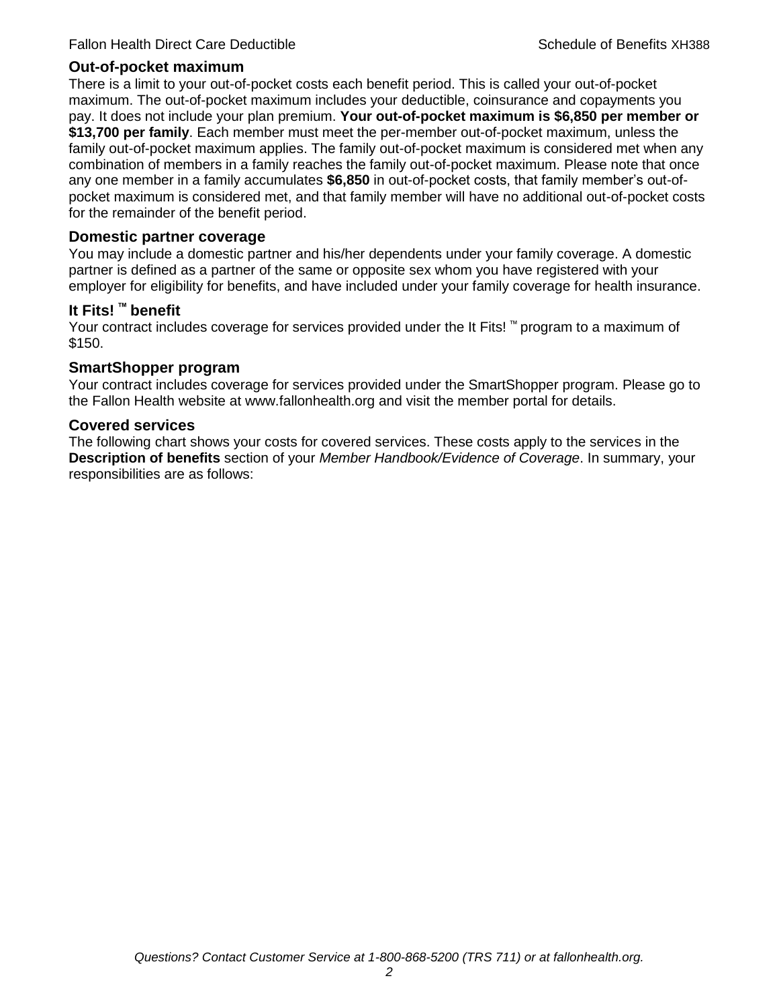#### **Out-of-pocket maximum**

There is a limit to your out-of-pocket costs each benefit period. This is called your out-of-pocket maximum. The out-of-pocket maximum includes your deductible, coinsurance and copayments you pay. It does not include your plan premium. **Your out-of-pocket maximum is \$6,850 per member or \$13,700 per family**. Each member must meet the per-member out-of-pocket maximum, unless the family out-of-pocket maximum applies. The family out-of-pocket maximum is considered met when any combination of members in a family reaches the family out-of-pocket maximum. Please note that once any one member in a family accumulates **\$6,850** in out-of-pocket costs, that family member's out-ofpocket maximum is considered met, and that family member will have no additional out-of-pocket costs for the remainder of the benefit period.

#### **Domestic partner coverage**

You may include a domestic partner and his/her dependents under your family coverage. A domestic partner is defined as a partner of the same or opposite sex whom you have registered with your employer for eligibility for benefits, and have included under your family coverage for health insurance.

#### **It Fits! ™ benefit**

Your contract includes coverage for services provided under the It Fits! ™ program to a maximum of \$150.

#### **SmartShopper program**

Your contract includes coverage for services provided under the SmartShopper program. Please go to the Fallon Health website at www.fallonhealth.org and visit the member portal for details.

#### **Covered services**

The following chart shows your costs for covered services. These costs apply to the services in the **Description of benefits** section of your *Member Handbook/Evidence of Coverage*. In summary, your responsibilities are as follows: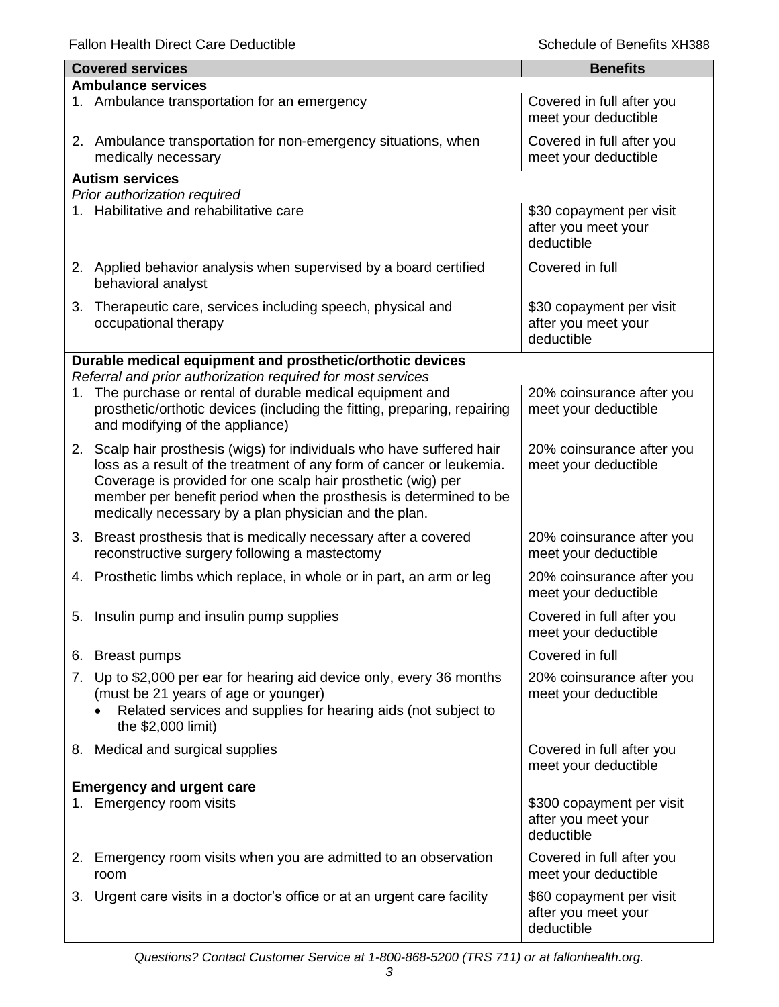Fallon Health Direct Care Deductible **Schedule of Benefits XH388** Schedule of Benefits XH388

|                           | <b>Covered services</b>                                                                                                                                                                                                                                                                                                                      | <b>Benefits</b>                                                |  |
|---------------------------|----------------------------------------------------------------------------------------------------------------------------------------------------------------------------------------------------------------------------------------------------------------------------------------------------------------------------------------------|----------------------------------------------------------------|--|
| <b>Ambulance services</b> |                                                                                                                                                                                                                                                                                                                                              |                                                                |  |
|                           | 1. Ambulance transportation for an emergency                                                                                                                                                                                                                                                                                                 | Covered in full after you<br>meet your deductible              |  |
|                           | 2. Ambulance transportation for non-emergency situations, when<br>medically necessary                                                                                                                                                                                                                                                        | Covered in full after you<br>meet your deductible              |  |
|                           | <b>Autism services</b>                                                                                                                                                                                                                                                                                                                       |                                                                |  |
|                           | Prior authorization required                                                                                                                                                                                                                                                                                                                 |                                                                |  |
|                           | 1. Habilitative and rehabilitative care                                                                                                                                                                                                                                                                                                      | \$30 copayment per visit<br>after you meet your<br>deductible  |  |
|                           | 2. Applied behavior analysis when supervised by a board certified<br>behavioral analyst                                                                                                                                                                                                                                                      | Covered in full                                                |  |
| 3.                        | Therapeutic care, services including speech, physical and<br>occupational therapy                                                                                                                                                                                                                                                            | \$30 copayment per visit<br>after you meet your<br>deductible  |  |
|                           | Durable medical equipment and prosthetic/orthotic devices                                                                                                                                                                                                                                                                                    |                                                                |  |
|                           | Referral and prior authorization required for most services                                                                                                                                                                                                                                                                                  |                                                                |  |
| 1.                        | The purchase or rental of durable medical equipment and<br>prosthetic/orthotic devices (including the fitting, preparing, repairing<br>and modifying of the appliance)                                                                                                                                                                       | 20% coinsurance after you<br>meet your deductible              |  |
|                           | 2. Scalp hair prosthesis (wigs) for individuals who have suffered hair<br>loss as a result of the treatment of any form of cancer or leukemia.<br>Coverage is provided for one scalp hair prosthetic (wig) per<br>member per benefit period when the prosthesis is determined to be<br>medically necessary by a plan physician and the plan. | 20% coinsurance after you<br>meet your deductible              |  |
| 3.                        | Breast prosthesis that is medically necessary after a covered<br>reconstructive surgery following a mastectomy                                                                                                                                                                                                                               | 20% coinsurance after you<br>meet your deductible              |  |
|                           | 4. Prosthetic limbs which replace, in whole or in part, an arm or leg                                                                                                                                                                                                                                                                        | 20% coinsurance after you<br>meet your deductible              |  |
|                           | 5. Insulin pump and insulin pump supplies                                                                                                                                                                                                                                                                                                    | Covered in full after you<br>meet your deductible              |  |
|                           | 6. Breast pumps                                                                                                                                                                                                                                                                                                                              | Covered in full                                                |  |
|                           | 7. Up to \$2,000 per ear for hearing aid device only, every 36 months<br>(must be 21 years of age or younger)<br>Related services and supplies for hearing aids (not subject to<br>the \$2,000 limit)                                                                                                                                        | 20% coinsurance after you<br>meet your deductible              |  |
|                           | 8. Medical and surgical supplies                                                                                                                                                                                                                                                                                                             | Covered in full after you<br>meet your deductible              |  |
|                           | <b>Emergency and urgent care</b>                                                                                                                                                                                                                                                                                                             |                                                                |  |
|                           | 1. Emergency room visits                                                                                                                                                                                                                                                                                                                     | \$300 copayment per visit<br>after you meet your<br>deductible |  |
|                           | 2. Emergency room visits when you are admitted to an observation<br>room                                                                                                                                                                                                                                                                     | Covered in full after you<br>meet your deductible              |  |
| 3.                        | Urgent care visits in a doctor's office or at an urgent care facility                                                                                                                                                                                                                                                                        | \$60 copayment per visit<br>after you meet your<br>deductible  |  |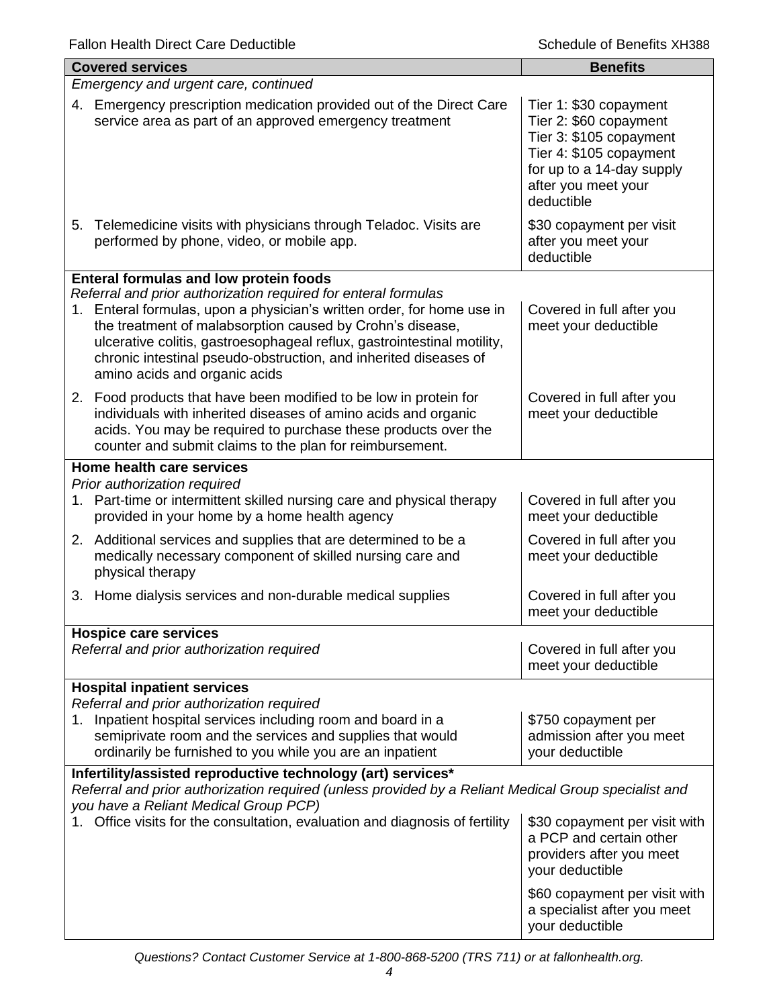| <b>Covered services</b>                                                                                                                                                                                                                                                                                                                                                               | <b>Benefits</b>                                                                                                                                                          |  |  |
|---------------------------------------------------------------------------------------------------------------------------------------------------------------------------------------------------------------------------------------------------------------------------------------------------------------------------------------------------------------------------------------|--------------------------------------------------------------------------------------------------------------------------------------------------------------------------|--|--|
| Emergency and urgent care, continued                                                                                                                                                                                                                                                                                                                                                  |                                                                                                                                                                          |  |  |
| 4. Emergency prescription medication provided out of the Direct Care<br>service area as part of an approved emergency treatment                                                                                                                                                                                                                                                       | Tier 1: \$30 copayment<br>Tier 2: \$60 copayment<br>Tier 3: \$105 copayment<br>Tier 4: \$105 copayment<br>for up to a 14-day supply<br>after you meet your<br>deductible |  |  |
| 5. Telemedicine visits with physicians through Teladoc. Visits are<br>performed by phone, video, or mobile app.                                                                                                                                                                                                                                                                       | \$30 copayment per visit<br>after you meet your<br>deductible                                                                                                            |  |  |
| Enteral formulas and low protein foods                                                                                                                                                                                                                                                                                                                                                |                                                                                                                                                                          |  |  |
| Referral and prior authorization required for enteral formulas<br>1. Enteral formulas, upon a physician's written order, for home use in<br>the treatment of malabsorption caused by Crohn's disease,<br>ulcerative colitis, gastroesophageal reflux, gastrointestinal motility,<br>chronic intestinal pseudo-obstruction, and inherited diseases of<br>amino acids and organic acids | Covered in full after you<br>meet your deductible                                                                                                                        |  |  |
| 2. Food products that have been modified to be low in protein for<br>individuals with inherited diseases of amino acids and organic<br>acids. You may be required to purchase these products over the<br>counter and submit claims to the plan for reimbursement.                                                                                                                     | Covered in full after you<br>meet your deductible                                                                                                                        |  |  |
| Home health care services                                                                                                                                                                                                                                                                                                                                                             |                                                                                                                                                                          |  |  |
| Prior authorization required                                                                                                                                                                                                                                                                                                                                                          |                                                                                                                                                                          |  |  |
| 1. Part-time or intermittent skilled nursing care and physical therapy<br>provided in your home by a home health agency                                                                                                                                                                                                                                                               | Covered in full after you<br>meet your deductible                                                                                                                        |  |  |
| 2. Additional services and supplies that are determined to be a<br>medically necessary component of skilled nursing care and<br>physical therapy                                                                                                                                                                                                                                      | Covered in full after you<br>meet your deductible                                                                                                                        |  |  |
| 3. Home dialysis services and non-durable medical supplies                                                                                                                                                                                                                                                                                                                            | Covered in full after you<br>meet your deductible                                                                                                                        |  |  |
| <b>Hospice care services</b>                                                                                                                                                                                                                                                                                                                                                          |                                                                                                                                                                          |  |  |
| Referral and prior authorization required                                                                                                                                                                                                                                                                                                                                             | Covered in full after you<br>meet your deductible                                                                                                                        |  |  |
| <b>Hospital inpatient services</b>                                                                                                                                                                                                                                                                                                                                                    |                                                                                                                                                                          |  |  |
| Referral and prior authorization required<br>1. Inpatient hospital services including room and board in a<br>semiprivate room and the services and supplies that would<br>ordinarily be furnished to you while you are an inpatient                                                                                                                                                   | \$750 copayment per<br>admission after you meet<br>your deductible                                                                                                       |  |  |
| Infertility/assisted reproductive technology (art) services*                                                                                                                                                                                                                                                                                                                          |                                                                                                                                                                          |  |  |
| Referral and prior authorization required (unless provided by a Reliant Medical Group specialist and<br>you have a Reliant Medical Group PCP)                                                                                                                                                                                                                                         |                                                                                                                                                                          |  |  |
| Office visits for the consultation, evaluation and diagnosis of fertility                                                                                                                                                                                                                                                                                                             | \$30 copayment per visit with<br>a PCP and certain other<br>providers after you meet<br>your deductible                                                                  |  |  |
|                                                                                                                                                                                                                                                                                                                                                                                       | \$60 copayment per visit with<br>a specialist after you meet<br>your deductible                                                                                          |  |  |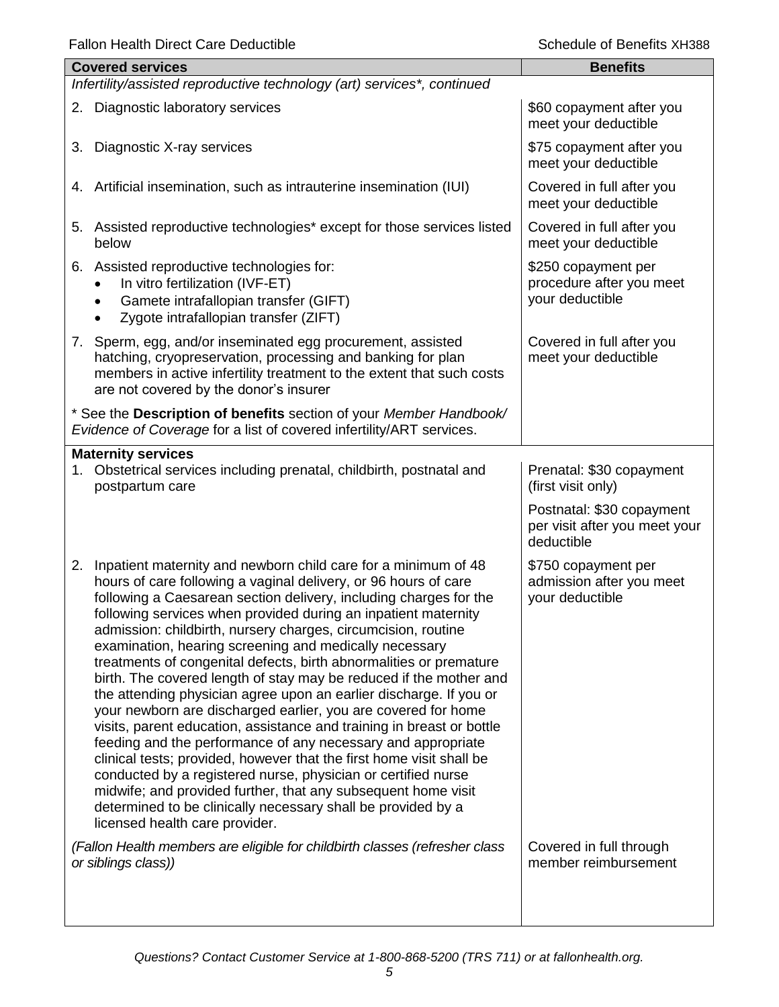| <b>Covered services</b>                                                                                                                                                                                                                                                                                                                                                                                                                                                                                                                                                                                                                                                                                                                                                                                                                                                                                                                                                                                                                                                                                                                           | <b>Benefits</b>                                                          |
|---------------------------------------------------------------------------------------------------------------------------------------------------------------------------------------------------------------------------------------------------------------------------------------------------------------------------------------------------------------------------------------------------------------------------------------------------------------------------------------------------------------------------------------------------------------------------------------------------------------------------------------------------------------------------------------------------------------------------------------------------------------------------------------------------------------------------------------------------------------------------------------------------------------------------------------------------------------------------------------------------------------------------------------------------------------------------------------------------------------------------------------------------|--------------------------------------------------------------------------|
| Infertility/assisted reproductive technology (art) services*, continued                                                                                                                                                                                                                                                                                                                                                                                                                                                                                                                                                                                                                                                                                                                                                                                                                                                                                                                                                                                                                                                                           |                                                                          |
| Diagnostic laboratory services<br>2.                                                                                                                                                                                                                                                                                                                                                                                                                                                                                                                                                                                                                                                                                                                                                                                                                                                                                                                                                                                                                                                                                                              | \$60 copayment after you<br>meet your deductible                         |
| Diagnostic X-ray services<br>3.                                                                                                                                                                                                                                                                                                                                                                                                                                                                                                                                                                                                                                                                                                                                                                                                                                                                                                                                                                                                                                                                                                                   | \$75 copayment after you<br>meet your deductible                         |
| Artificial insemination, such as intrauterine insemination (IUI)<br>4.                                                                                                                                                                                                                                                                                                                                                                                                                                                                                                                                                                                                                                                                                                                                                                                                                                                                                                                                                                                                                                                                            | Covered in full after you<br>meet your deductible                        |
| Assisted reproductive technologies* except for those services listed<br>5.<br>below                                                                                                                                                                                                                                                                                                                                                                                                                                                                                                                                                                                                                                                                                                                                                                                                                                                                                                                                                                                                                                                               | Covered in full after you<br>meet your deductible                        |
| 6. Assisted reproductive technologies for:<br>In vitro fertilization (IVF-ET)<br>Gamete intrafallopian transfer (GIFT)<br>$\bullet$<br>Zygote intrafallopian transfer (ZIFT)                                                                                                                                                                                                                                                                                                                                                                                                                                                                                                                                                                                                                                                                                                                                                                                                                                                                                                                                                                      | \$250 copayment per<br>procedure after you meet<br>your deductible       |
| 7. Sperm, egg, and/or inseminated egg procurement, assisted<br>hatching, cryopreservation, processing and banking for plan<br>members in active infertility treatment to the extent that such costs<br>are not covered by the donor's insurer                                                                                                                                                                                                                                                                                                                                                                                                                                                                                                                                                                                                                                                                                                                                                                                                                                                                                                     | Covered in full after you<br>meet your deductible                        |
| * See the Description of benefits section of your Member Handbook/<br>Evidence of Coverage for a list of covered infertility/ART services.                                                                                                                                                                                                                                                                                                                                                                                                                                                                                                                                                                                                                                                                                                                                                                                                                                                                                                                                                                                                        |                                                                          |
| <b>Maternity services</b>                                                                                                                                                                                                                                                                                                                                                                                                                                                                                                                                                                                                                                                                                                                                                                                                                                                                                                                                                                                                                                                                                                                         |                                                                          |
| 1. Obstetrical services including prenatal, childbirth, postnatal and<br>postpartum care                                                                                                                                                                                                                                                                                                                                                                                                                                                                                                                                                                                                                                                                                                                                                                                                                                                                                                                                                                                                                                                          | Prenatal: \$30 copayment<br>(first visit only)                           |
|                                                                                                                                                                                                                                                                                                                                                                                                                                                                                                                                                                                                                                                                                                                                                                                                                                                                                                                                                                                                                                                                                                                                                   | Postnatal: \$30 copayment<br>per visit after you meet your<br>deductible |
| Inpatient maternity and newborn child care for a minimum of 48<br>2.<br>hours of care following a vaginal delivery, or 96 hours of care<br>following a Caesarean section delivery, including charges for the<br>following services when provided during an inpatient maternity<br>admission: childbirth, nursery charges, circumcision, routine<br>examination, hearing screening and medically necessary<br>treatments of congenital defects, birth abnormalities or premature<br>birth. The covered length of stay may be reduced if the mother and<br>the attending physician agree upon an earlier discharge. If you or<br>your newborn are discharged earlier, you are covered for home<br>visits, parent education, assistance and training in breast or bottle<br>feeding and the performance of any necessary and appropriate<br>clinical tests; provided, however that the first home visit shall be<br>conducted by a registered nurse, physician or certified nurse<br>midwife; and provided further, that any subsequent home visit<br>determined to be clinically necessary shall be provided by a<br>licensed health care provider. | \$750 copayment per<br>admission after you meet<br>your deductible       |
| (Fallon Health members are eligible for childbirth classes (refresher class<br>or siblings class))                                                                                                                                                                                                                                                                                                                                                                                                                                                                                                                                                                                                                                                                                                                                                                                                                                                                                                                                                                                                                                                | Covered in full through<br>member reimbursement                          |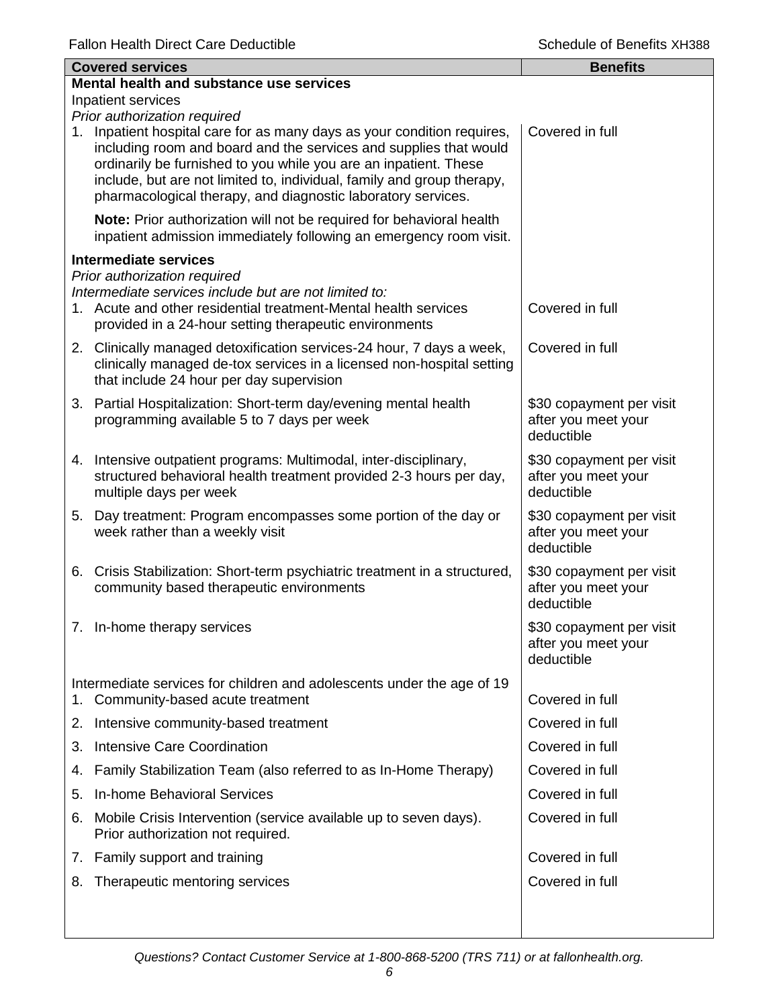| <b>Covered services</b> |                                                                                                                                                                                                                                                                                                                                                            | <b>Benefits</b>                                               |  |  |
|-------------------------|------------------------------------------------------------------------------------------------------------------------------------------------------------------------------------------------------------------------------------------------------------------------------------------------------------------------------------------------------------|---------------------------------------------------------------|--|--|
|                         | Mental health and substance use services                                                                                                                                                                                                                                                                                                                   |                                                               |  |  |
|                         | Inpatient services<br>Prior authorization required                                                                                                                                                                                                                                                                                                         |                                                               |  |  |
|                         | 1. Inpatient hospital care for as many days as your condition requires,<br>including room and board and the services and supplies that would<br>ordinarily be furnished to you while you are an inpatient. These<br>include, but are not limited to, individual, family and group therapy,<br>pharmacological therapy, and diagnostic laboratory services. | Covered in full                                               |  |  |
|                         | Note: Prior authorization will not be required for behavioral health<br>inpatient admission immediately following an emergency room visit.                                                                                                                                                                                                                 |                                                               |  |  |
|                         | <b>Intermediate services</b>                                                                                                                                                                                                                                                                                                                               |                                                               |  |  |
|                         | Prior authorization required<br>Intermediate services include but are not limited to:<br>1. Acute and other residential treatment-Mental health services<br>provided in a 24-hour setting therapeutic environments                                                                                                                                         | Covered in full                                               |  |  |
|                         | 2. Clinically managed detoxification services-24 hour, 7 days a week,<br>clinically managed de-tox services in a licensed non-hospital setting<br>that include 24 hour per day supervision                                                                                                                                                                 | Covered in full                                               |  |  |
|                         | 3. Partial Hospitalization: Short-term day/evening mental health<br>programming available 5 to 7 days per week                                                                                                                                                                                                                                             | \$30 copayment per visit<br>after you meet your<br>deductible |  |  |
|                         | 4. Intensive outpatient programs: Multimodal, inter-disciplinary,<br>structured behavioral health treatment provided 2-3 hours per day,<br>multiple days per week                                                                                                                                                                                          | \$30 copayment per visit<br>after you meet your<br>deductible |  |  |
|                         | 5. Day treatment: Program encompasses some portion of the day or<br>week rather than a weekly visit                                                                                                                                                                                                                                                        | \$30 copayment per visit<br>after you meet your<br>deductible |  |  |
|                         | 6. Crisis Stabilization: Short-term psychiatric treatment in a structured,<br>community based therapeutic environments                                                                                                                                                                                                                                     | \$30 copayment per visit<br>after you meet your<br>deductible |  |  |
|                         | 7. In-home therapy services                                                                                                                                                                                                                                                                                                                                | \$30 copayment per visit<br>after you meet your<br>deductible |  |  |
| 1.                      | Intermediate services for children and adolescents under the age of 19<br>Community-based acute treatment                                                                                                                                                                                                                                                  | Covered in full                                               |  |  |
|                         | 2. Intensive community-based treatment                                                                                                                                                                                                                                                                                                                     | Covered in full                                               |  |  |
|                         | 3. Intensive Care Coordination                                                                                                                                                                                                                                                                                                                             | Covered in full                                               |  |  |
|                         | 4. Family Stabilization Team (also referred to as In-Home Therapy)                                                                                                                                                                                                                                                                                         | Covered in full                                               |  |  |
| 5.                      | In-home Behavioral Services                                                                                                                                                                                                                                                                                                                                | Covered in full                                               |  |  |
| 6.                      | Mobile Crisis Intervention (service available up to seven days).<br>Prior authorization not required.                                                                                                                                                                                                                                                      | Covered in full                                               |  |  |
|                         | 7. Family support and training                                                                                                                                                                                                                                                                                                                             | Covered in full                                               |  |  |
| 8.                      | Therapeutic mentoring services                                                                                                                                                                                                                                                                                                                             | Covered in full                                               |  |  |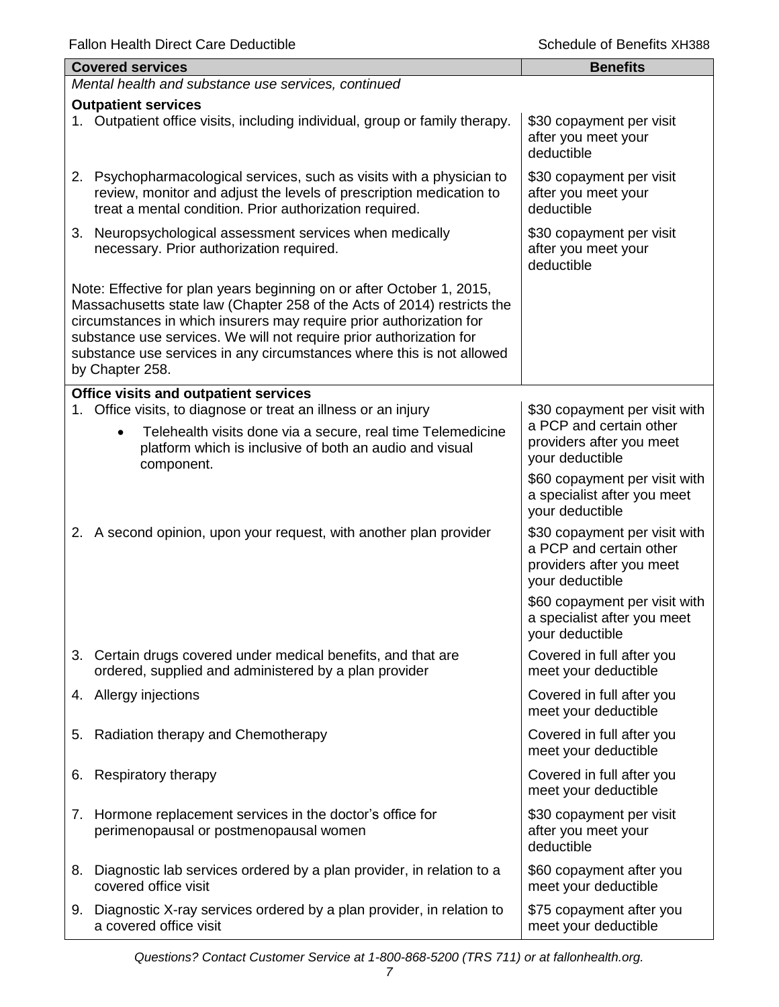|    | <b>Covered services</b>                                                                                                                                                                                                                                                                                                                                                                    | <b>Benefits</b>                                                                                         |
|----|--------------------------------------------------------------------------------------------------------------------------------------------------------------------------------------------------------------------------------------------------------------------------------------------------------------------------------------------------------------------------------------------|---------------------------------------------------------------------------------------------------------|
|    | Mental health and substance use services, continued                                                                                                                                                                                                                                                                                                                                        |                                                                                                         |
|    | <b>Outpatient services</b><br>1. Outpatient office visits, including individual, group or family therapy.                                                                                                                                                                                                                                                                                  | \$30 copayment per visit<br>after you meet your<br>deductible                                           |
|    | 2. Psychopharmacological services, such as visits with a physician to<br>review, monitor and adjust the levels of prescription medication to<br>treat a mental condition. Prior authorization required.                                                                                                                                                                                    | \$30 copayment per visit<br>after you meet your<br>deductible                                           |
|    | 3. Neuropsychological assessment services when medically<br>necessary. Prior authorization required.                                                                                                                                                                                                                                                                                       | \$30 copayment per visit<br>after you meet your<br>deductible                                           |
|    | Note: Effective for plan years beginning on or after October 1, 2015,<br>Massachusetts state law (Chapter 258 of the Acts of 2014) restricts the<br>circumstances in which insurers may require prior authorization for<br>substance use services. We will not require prior authorization for<br>substance use services in any circumstances where this is not allowed<br>by Chapter 258. |                                                                                                         |
|    | <b>Office visits and outpatient services</b>                                                                                                                                                                                                                                                                                                                                               |                                                                                                         |
|    | 1. Office visits, to diagnose or treat an illness or an injury<br>Telehealth visits done via a secure, real time Telemedicine<br>$\bullet$<br>platform which is inclusive of both an audio and visual<br>component.                                                                                                                                                                        | \$30 copayment per visit with<br>a PCP and certain other<br>providers after you meet<br>your deductible |
|    |                                                                                                                                                                                                                                                                                                                                                                                            | \$60 copayment per visit with<br>a specialist after you meet<br>your deductible                         |
|    | 2. A second opinion, upon your request, with another plan provider                                                                                                                                                                                                                                                                                                                         | \$30 copayment per visit with<br>a PCP and certain other<br>providers after you meet<br>your deductible |
|    |                                                                                                                                                                                                                                                                                                                                                                                            | \$60 copayment per visit with<br>a specialist after you meet<br>your deductible                         |
|    | 3. Certain drugs covered under medical benefits, and that are<br>ordered, supplied and administered by a plan provider                                                                                                                                                                                                                                                                     | Covered in full after you<br>meet your deductible                                                       |
|    | 4. Allergy injections                                                                                                                                                                                                                                                                                                                                                                      | Covered in full after you<br>meet your deductible                                                       |
| 5. | Radiation therapy and Chemotherapy                                                                                                                                                                                                                                                                                                                                                         | Covered in full after you<br>meet your deductible                                                       |
| 6. | Respiratory therapy                                                                                                                                                                                                                                                                                                                                                                        | Covered in full after you<br>meet your deductible                                                       |
|    | 7. Hormone replacement services in the doctor's office for<br>perimenopausal or postmenopausal women                                                                                                                                                                                                                                                                                       | \$30 copayment per visit<br>after you meet your<br>deductible                                           |
|    | 8. Diagnostic lab services ordered by a plan provider, in relation to a<br>covered office visit                                                                                                                                                                                                                                                                                            | \$60 copayment after you<br>meet your deductible                                                        |
|    | 9. Diagnostic X-ray services ordered by a plan provider, in relation to<br>a covered office visit                                                                                                                                                                                                                                                                                          | \$75 copayment after you<br>meet your deductible                                                        |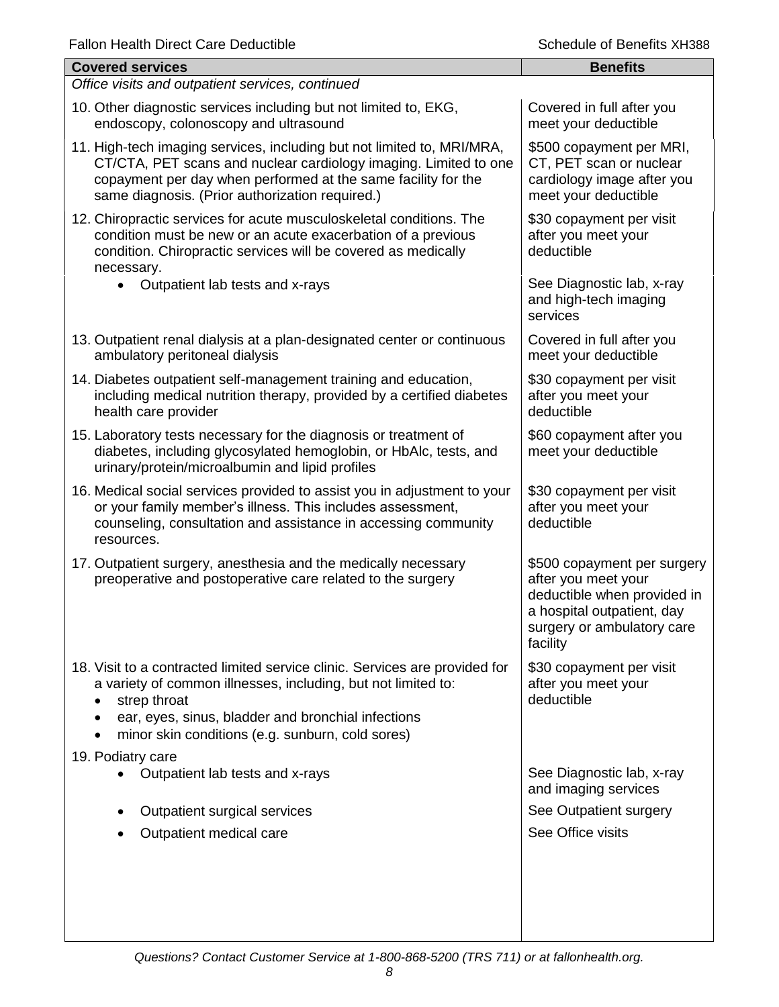| <b>Covered services</b>                                                                                                                                                                                                                                                | <b>Benefits</b>                                                                                                                                           |
|------------------------------------------------------------------------------------------------------------------------------------------------------------------------------------------------------------------------------------------------------------------------|-----------------------------------------------------------------------------------------------------------------------------------------------------------|
| Office visits and outpatient services, continued                                                                                                                                                                                                                       |                                                                                                                                                           |
| 10. Other diagnostic services including but not limited to, EKG,<br>endoscopy, colonoscopy and ultrasound                                                                                                                                                              | Covered in full after you<br>meet your deductible                                                                                                         |
| 11. High-tech imaging services, including but not limited to, MRI/MRA,<br>CT/CTA, PET scans and nuclear cardiology imaging. Limited to one<br>copayment per day when performed at the same facility for the<br>same diagnosis. (Prior authorization required.)         | \$500 copayment per MRI,<br>CT, PET scan or nuclear<br>cardiology image after you<br>meet your deductible                                                 |
| 12. Chiropractic services for acute musculoskeletal conditions. The<br>condition must be new or an acute exacerbation of a previous<br>condition. Chiropractic services will be covered as medically<br>necessary.                                                     | \$30 copayment per visit<br>after you meet your<br>deductible                                                                                             |
| Outpatient lab tests and x-rays                                                                                                                                                                                                                                        | See Diagnostic lab, x-ray<br>and high-tech imaging<br>services                                                                                            |
| 13. Outpatient renal dialysis at a plan-designated center or continuous<br>ambulatory peritoneal dialysis                                                                                                                                                              | Covered in full after you<br>meet your deductible                                                                                                         |
| 14. Diabetes outpatient self-management training and education,<br>including medical nutrition therapy, provided by a certified diabetes<br>health care provider                                                                                                       | \$30 copayment per visit<br>after you meet your<br>deductible                                                                                             |
| 15. Laboratory tests necessary for the diagnosis or treatment of<br>diabetes, including glycosylated hemoglobin, or HbAlc, tests, and<br>urinary/protein/microalbumin and lipid profiles                                                                               | \$60 copayment after you<br>meet your deductible                                                                                                          |
| 16. Medical social services provided to assist you in adjustment to your<br>or your family member's illness. This includes assessment,<br>counseling, consultation and assistance in accessing community<br>resources.                                                 | \$30 copayment per visit<br>after you meet your<br>deductible                                                                                             |
| 17. Outpatient surgery, anesthesia and the medically necessary<br>preoperative and postoperative care related to the surgery                                                                                                                                           | \$500 copayment per surgery<br>after you meet your<br>deductible when provided in<br>a hospital outpatient, day<br>surgery or ambulatory care<br>facility |
| 18. Visit to a contracted limited service clinic. Services are provided for<br>a variety of common illnesses, including, but not limited to:<br>strep throat<br>ear, eyes, sinus, bladder and bronchial infections<br>minor skin conditions (e.g. sunburn, cold sores) | \$30 copayment per visit<br>after you meet your<br>deductible                                                                                             |
| 19. Podiatry care<br>Outpatient lab tests and x-rays                                                                                                                                                                                                                   | See Diagnostic lab, x-ray<br>and imaging services                                                                                                         |
| Outpatient surgical services                                                                                                                                                                                                                                           | See Outpatient surgery                                                                                                                                    |
|                                                                                                                                                                                                                                                                        | See Office visits                                                                                                                                         |
| Outpatient medical care                                                                                                                                                                                                                                                |                                                                                                                                                           |
|                                                                                                                                                                                                                                                                        |                                                                                                                                                           |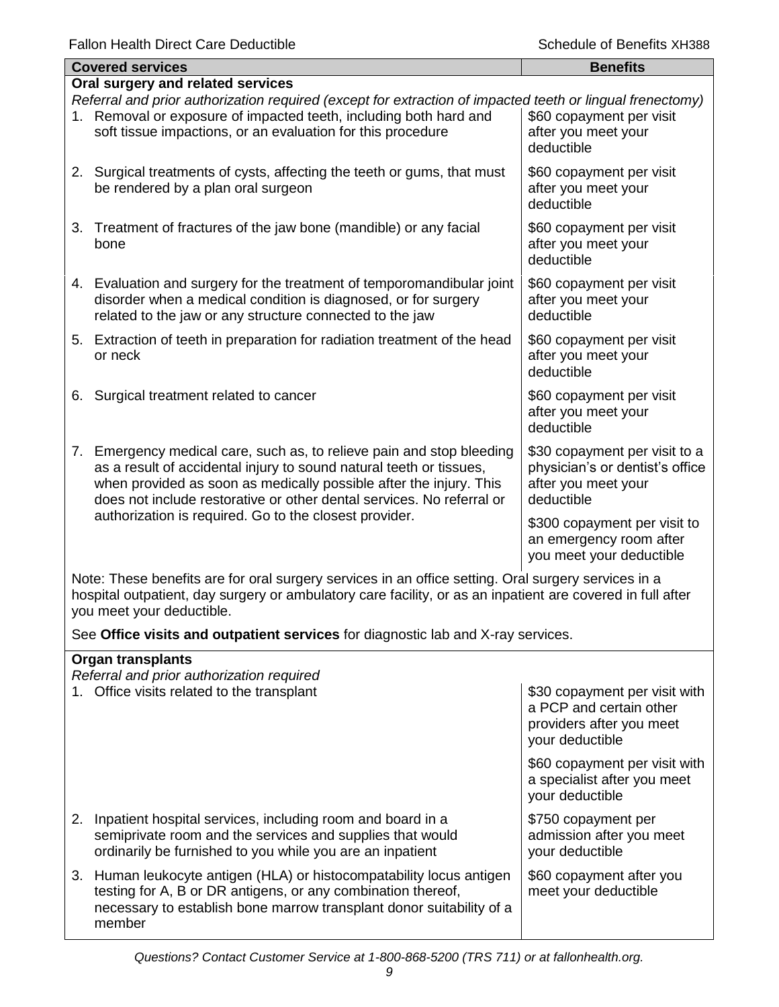|    | <b>Covered services</b>                                                                                                                                                                                                                                                                                                                            | <b>Benefits</b>                                                                                       |  |
|----|----------------------------------------------------------------------------------------------------------------------------------------------------------------------------------------------------------------------------------------------------------------------------------------------------------------------------------------------------|-------------------------------------------------------------------------------------------------------|--|
|    | Oral surgery and related services                                                                                                                                                                                                                                                                                                                  |                                                                                                       |  |
|    | Referral and prior authorization required (except for extraction of impacted teeth or lingual frenectomy)<br>1. Removal or exposure of impacted teeth, including both hard and<br>soft tissue impactions, or an evaluation for this procedure                                                                                                      | \$60 copayment per visit<br>after you meet your<br>deductible                                         |  |
|    | 2. Surgical treatments of cysts, affecting the teeth or gums, that must<br>be rendered by a plan oral surgeon                                                                                                                                                                                                                                      | \$60 copayment per visit<br>after you meet your<br>deductible                                         |  |
|    | 3. Treatment of fractures of the jaw bone (mandible) or any facial<br>bone                                                                                                                                                                                                                                                                         | \$60 copayment per visit<br>after you meet your<br>deductible                                         |  |
|    | 4. Evaluation and surgery for the treatment of temporomandibular joint<br>disorder when a medical condition is diagnosed, or for surgery<br>related to the jaw or any structure connected to the jaw                                                                                                                                               | \$60 copayment per visit<br>after you meet your<br>deductible                                         |  |
|    | 5. Extraction of teeth in preparation for radiation treatment of the head<br>or neck                                                                                                                                                                                                                                                               | \$60 copayment per visit<br>after you meet your<br>deductible                                         |  |
| 6. | Surgical treatment related to cancer                                                                                                                                                                                                                                                                                                               | \$60 copayment per visit<br>after you meet your<br>deductible                                         |  |
| 7. | Emergency medical care, such as, to relieve pain and stop bleeding<br>as a result of accidental injury to sound natural teeth or tissues,<br>when provided as soon as medically possible after the injury. This<br>does not include restorative or other dental services. No referral or<br>authorization is required. Go to the closest provider. | \$30 copayment per visit to a<br>physician's or dentist's office<br>after you meet your<br>deductible |  |
|    |                                                                                                                                                                                                                                                                                                                                                    | \$300 copayment per visit to<br>an emergency room after<br>you meet your deductible                   |  |
|    | Note: These honefits are fer and currences is an idea office setting. Oral currence compassion is a                                                                                                                                                                                                                                                |                                                                                                       |  |

Note: These benefits are for oral surgery services in an office setting. Oral surgery services in a hospital outpatient, day surgery or ambulatory care facility, or as an inpatient are covered in full after you meet your deductible.

See **Office visits and outpatient services** for diagnostic lab and X-ray services.

| <b>Organ transplants</b><br>Referral and prior authorization required                                                                                                                                                  |                                                                                                         |  |  |
|------------------------------------------------------------------------------------------------------------------------------------------------------------------------------------------------------------------------|---------------------------------------------------------------------------------------------------------|--|--|
| 1. Office visits related to the transplant                                                                                                                                                                             | \$30 copayment per visit with<br>a PCP and certain other<br>providers after you meet<br>your deductible |  |  |
|                                                                                                                                                                                                                        | \$60 copayment per visit with<br>a specialist after you meet<br>your deductible                         |  |  |
| 2. Inpatient hospital services, including room and board in a<br>semiprivate room and the services and supplies that would<br>ordinarily be furnished to you while you are an inpatient                                | \$750 copayment per<br>admission after you meet<br>your deductible                                      |  |  |
| 3. Human leukocyte antigen (HLA) or histocompatability locus antigen<br>testing for A, B or DR antigens, or any combination thereof,<br>necessary to establish bone marrow transplant donor suitability of a<br>member | \$60 copayment after you<br>meet your deductible                                                        |  |  |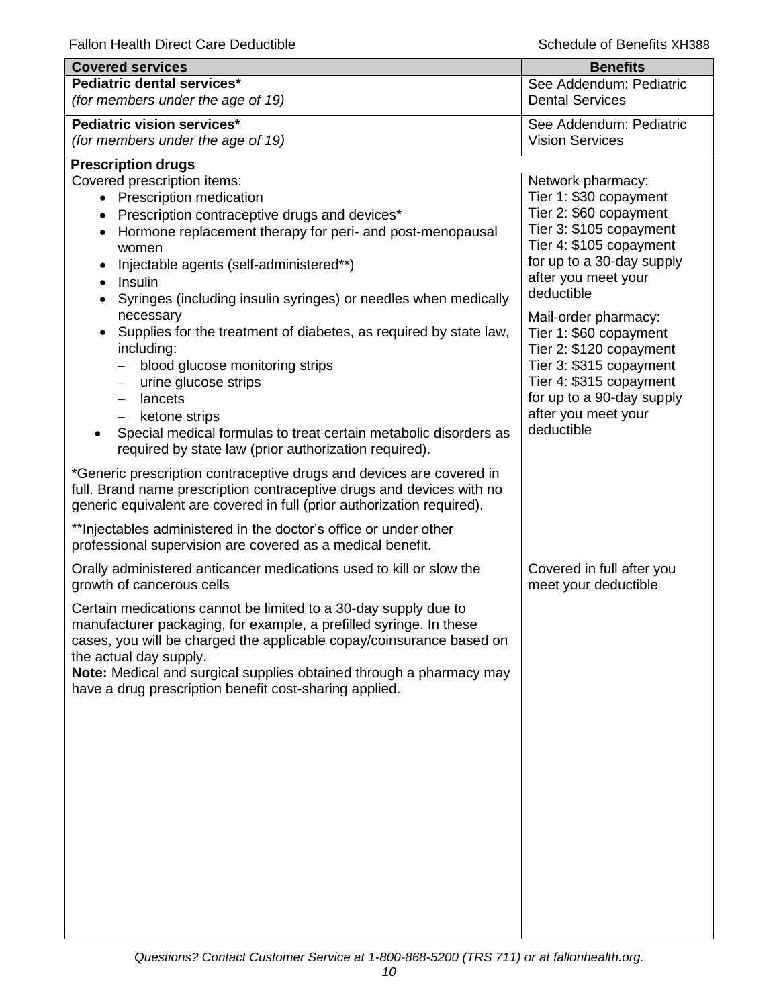| <b>Covered services</b>                                                                                                                                                                                                                                                                                                                                                                                                                                                                                                                                                                                                                       | <b>Benefits</b>                                                                                                                                                                                   |
|-----------------------------------------------------------------------------------------------------------------------------------------------------------------------------------------------------------------------------------------------------------------------------------------------------------------------------------------------------------------------------------------------------------------------------------------------------------------------------------------------------------------------------------------------------------------------------------------------------------------------------------------------|---------------------------------------------------------------------------------------------------------------------------------------------------------------------------------------------------|
| Pediatric dental services*<br>(for members under the age of 19)                                                                                                                                                                                                                                                                                                                                                                                                                                                                                                                                                                               | See Addendum: Pediatric<br><b>Dental Services</b>                                                                                                                                                 |
| Pediatric vision services*<br>(for members under the age of 19)                                                                                                                                                                                                                                                                                                                                                                                                                                                                                                                                                                               | See Addendum: Pediatric<br><b>Vision Services</b>                                                                                                                                                 |
| <b>Prescription drugs</b><br>Covered prescription items:<br>• Prescription medication<br>Prescription contraceptive drugs and devices*<br>Hormone replacement therapy for peri- and post-menopausal<br>women<br>Injectable agents (self-administered**)<br>٠<br>Insulin<br>$\bullet$<br>Syringes (including insulin syringes) or needles when medically<br>necessary                                                                                                                                                                                                                                                                          | Network pharmacy:<br>Tier 1: \$30 copayment<br>Tier 2: \$60 copayment<br>Tier 3: \$105 copayment<br>Tier 4: \$105 copayment<br>for up to a 30-day supply<br>after you meet your<br>deductible     |
| Supplies for the treatment of diabetes, as required by state law,<br>including:<br>blood glucose monitoring strips<br>urine glucose strips<br>$\qquad \qquad -$<br>lancets<br>$\qquad \qquad -$<br>ketone strips<br>Special medical formulas to treat certain metabolic disorders as<br>required by state law (prior authorization required).<br>*Generic prescription contraceptive drugs and devices are covered in<br>full. Brand name prescription contraceptive drugs and devices with no<br>generic equivalent are covered in full (prior authorization required).<br>** Injectables administered in the doctor's office or under other | Mail-order pharmacy:<br>Tier 1: \$60 copayment<br>Tier 2: \$120 copayment<br>Tier 3: \$315 copayment<br>Tier 4: \$315 copayment<br>for up to a 90-day supply<br>after you meet your<br>deductible |
| professional supervision are covered as a medical benefit.<br>Orally administered anticancer medications used to kill or slow the                                                                                                                                                                                                                                                                                                                                                                                                                                                                                                             | Covered in full after you                                                                                                                                                                         |
| growth of cancerous cells<br>Certain medications cannot be limited to a 30-day supply due to<br>manufacturer packaging, for example, a prefilled syringe. In these<br>cases, you will be charged the applicable copay/coinsurance based on<br>the actual day supply.<br>Note: Medical and surgical supplies obtained through a pharmacy may<br>have a drug prescription benefit cost-sharing applied.                                                                                                                                                                                                                                         | meet your deductible                                                                                                                                                                              |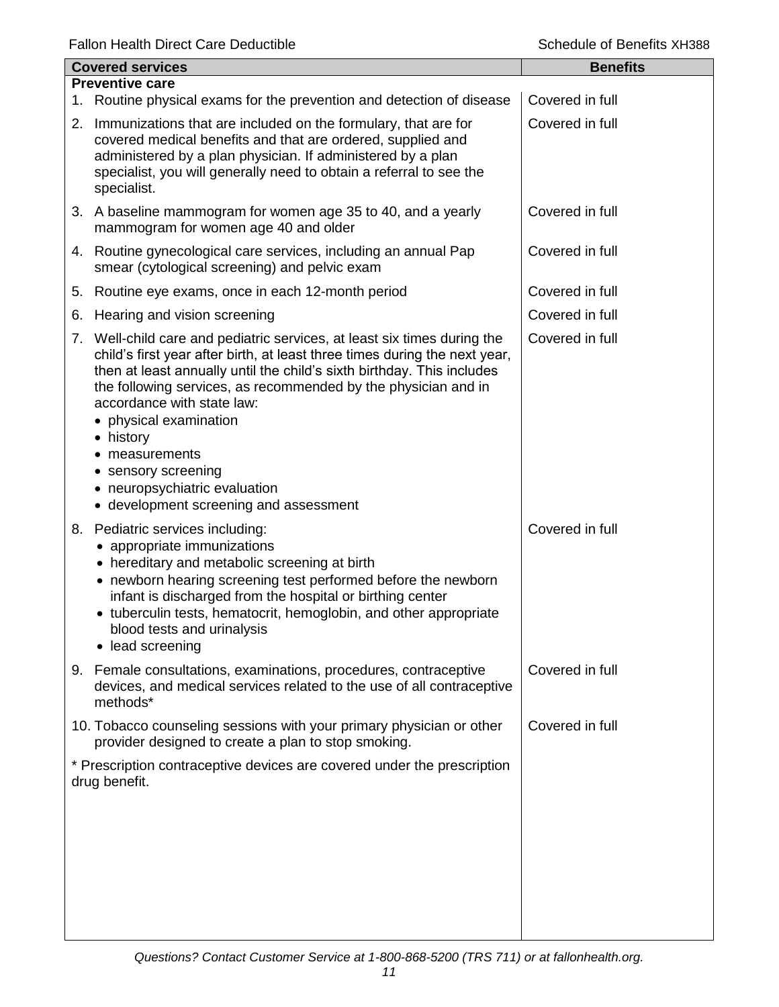| <b>Covered services</b> |                                                                                                                                                                                                                                                                                                                                                                                                                                                                                           | <b>Benefits</b> |
|-------------------------|-------------------------------------------------------------------------------------------------------------------------------------------------------------------------------------------------------------------------------------------------------------------------------------------------------------------------------------------------------------------------------------------------------------------------------------------------------------------------------------------|-----------------|
|                         | <b>Preventive care</b>                                                                                                                                                                                                                                                                                                                                                                                                                                                                    |                 |
|                         | 1. Routine physical exams for the prevention and detection of disease                                                                                                                                                                                                                                                                                                                                                                                                                     | Covered in full |
|                         | 2. Immunizations that are included on the formulary, that are for<br>covered medical benefits and that are ordered, supplied and<br>administered by a plan physician. If administered by a plan<br>specialist, you will generally need to obtain a referral to see the<br>specialist.                                                                                                                                                                                                     | Covered in full |
|                         | 3. A baseline mammogram for women age 35 to 40, and a yearly<br>mammogram for women age 40 and older                                                                                                                                                                                                                                                                                                                                                                                      | Covered in full |
|                         | 4. Routine gynecological care services, including an annual Pap<br>smear (cytological screening) and pelvic exam                                                                                                                                                                                                                                                                                                                                                                          | Covered in full |
| 5.                      | Routine eye exams, once in each 12-month period                                                                                                                                                                                                                                                                                                                                                                                                                                           | Covered in full |
| 6.                      | Hearing and vision screening                                                                                                                                                                                                                                                                                                                                                                                                                                                              | Covered in full |
|                         | 7. Well-child care and pediatric services, at least six times during the<br>child's first year after birth, at least three times during the next year,<br>then at least annually until the child's sixth birthday. This includes<br>the following services, as recommended by the physician and in<br>accordance with state law:<br>• physical examination<br>• history<br>measurements<br>• sensory screening<br>• neuropsychiatric evaluation<br>• development screening and assessment | Covered in full |
|                         | 8. Pediatric services including:<br>• appropriate immunizations<br>• hereditary and metabolic screening at birth<br>• newborn hearing screening test performed before the newborn<br>infant is discharged from the hospital or birthing center<br>• tuberculin tests, hematocrit, hemoglobin, and other appropriate<br>blood tests and urinalysis<br>lead screening<br>$\bullet$                                                                                                          | Covered in full |
|                         | 9. Female consultations, examinations, procedures, contraceptive<br>devices, and medical services related to the use of all contraceptive<br>methods*                                                                                                                                                                                                                                                                                                                                     | Covered in full |
|                         | 10. Tobacco counseling sessions with your primary physician or other<br>provider designed to create a plan to stop smoking.                                                                                                                                                                                                                                                                                                                                                               | Covered in full |
|                         | * Prescription contraceptive devices are covered under the prescription<br>drug benefit.                                                                                                                                                                                                                                                                                                                                                                                                  |                 |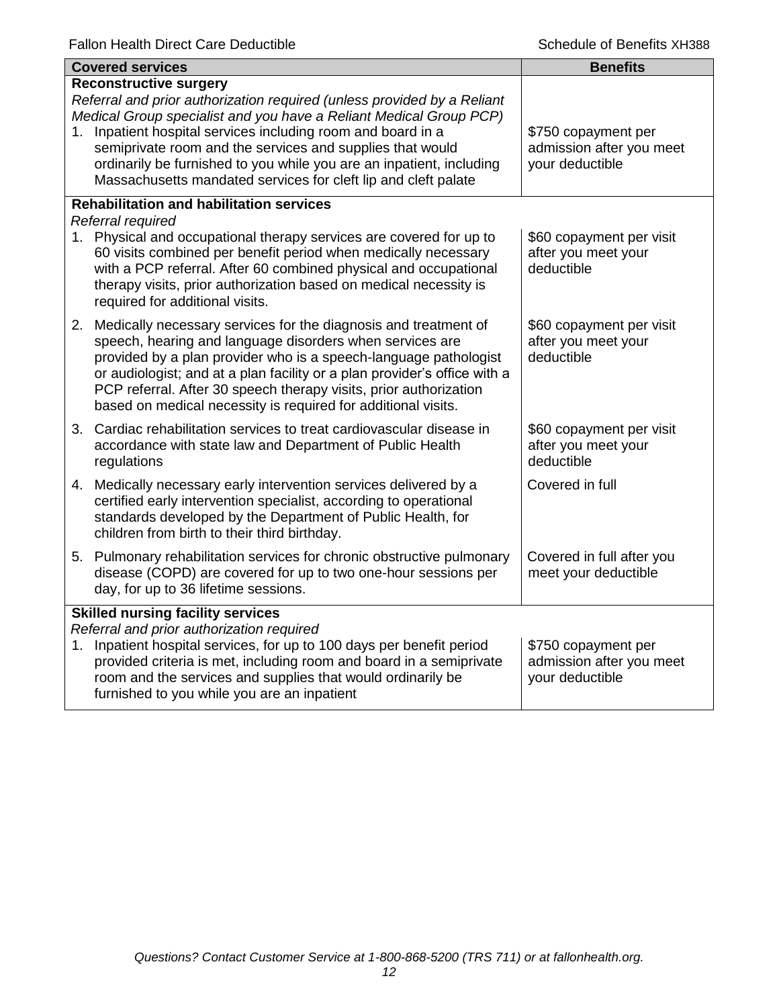| <b>Covered services</b>                                                                                                                                                                                                                                                                                                                                                                                                                                  | <b>Benefits</b>                                                    |
|----------------------------------------------------------------------------------------------------------------------------------------------------------------------------------------------------------------------------------------------------------------------------------------------------------------------------------------------------------------------------------------------------------------------------------------------------------|--------------------------------------------------------------------|
| <b>Reconstructive surgery</b><br>Referral and prior authorization required (unless provided by a Reliant<br>Medical Group specialist and you have a Reliant Medical Group PCP)<br>Inpatient hospital services including room and board in a<br>1.<br>semiprivate room and the services and supplies that would<br>ordinarily be furnished to you while you are an inpatient, including<br>Massachusetts mandated services for cleft lip and cleft palate | \$750 copayment per<br>admission after you meet<br>your deductible |
| <b>Rehabilitation and habilitation services</b><br>Referral required<br>Physical and occupational therapy services are covered for up to<br>1.<br>60 visits combined per benefit period when medically necessary<br>with a PCP referral. After 60 combined physical and occupational<br>therapy visits, prior authorization based on medical necessity is<br>required for additional visits.                                                             | \$60 copayment per visit<br>after you meet your<br>deductible      |
| 2. Medically necessary services for the diagnosis and treatment of<br>speech, hearing and language disorders when services are<br>provided by a plan provider who is a speech-language pathologist<br>or audiologist; and at a plan facility or a plan provider's office with a<br>PCP referral. After 30 speech therapy visits, prior authorization<br>based on medical necessity is required for additional visits.                                    | \$60 copayment per visit<br>after you meet your<br>deductible      |
| 3. Cardiac rehabilitation services to treat cardiovascular disease in<br>accordance with state law and Department of Public Health<br>regulations                                                                                                                                                                                                                                                                                                        | \$60 copayment per visit<br>after you meet your<br>deductible      |
| Medically necessary early intervention services delivered by a<br>4.<br>certified early intervention specialist, according to operational<br>standards developed by the Department of Public Health, for<br>children from birth to their third birthday.                                                                                                                                                                                                 | Covered in full                                                    |
| 5. Pulmonary rehabilitation services for chronic obstructive pulmonary<br>disease (COPD) are covered for up to two one-hour sessions per<br>day, for up to 36 lifetime sessions.                                                                                                                                                                                                                                                                         | Covered in full after you<br>meet your deductible                  |
| <b>Skilled nursing facility services</b><br>Referral and prior authorization required<br>Inpatient hospital services, for up to 100 days per benefit period<br>1.<br>provided criteria is met, including room and board in a semiprivate<br>room and the services and supplies that would ordinarily be<br>furnished to you while you are an inpatient                                                                                                   | \$750 copayment per<br>admission after you meet<br>your deductible |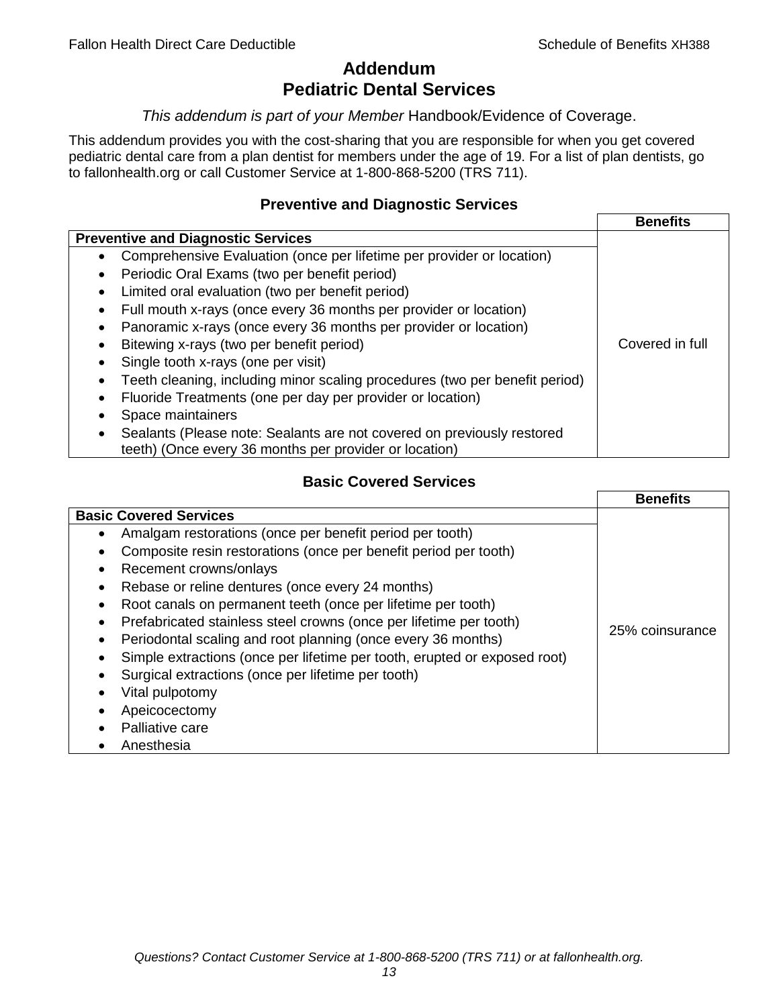## **Addendum Pediatric Dental Services**

#### *This addendum is part of your Member* Handbook/Evidence of Coverage.

This addendum provides you with the cost-sharing that you are responsible for when you get covered pediatric dental care from a plan dentist for members under the age of 19. For a list of plan dentists, go to fallonhealth.org or call Customer Service at 1-800-868-5200 (TRS 711).

#### **Preventive and Diagnostic Services**

|                                                                                    | <b>Benefits</b> |
|------------------------------------------------------------------------------------|-----------------|
| <b>Preventive and Diagnostic Services</b>                                          |                 |
| Comprehensive Evaluation (once per lifetime per provider or location)<br>$\bullet$ |                 |
| Periodic Oral Exams (two per benefit period)<br>$\bullet$                          |                 |
| Limited oral evaluation (two per benefit period)<br>$\bullet$                      |                 |
| Full mouth x-rays (once every 36 months per provider or location)                  |                 |
| Panoramic x-rays (once every 36 months per provider or location)                   |                 |
| Bitewing x-rays (two per benefit period)<br>٠                                      | Covered in full |
| Single tooth x-rays (one per visit)                                                |                 |
| Teeth cleaning, including minor scaling procedures (two per benefit period)        |                 |
| Fluoride Treatments (one per day per provider or location)                         |                 |
| Space maintainers                                                                  |                 |
| Sealants (Please note: Sealants are not covered on previously restored             |                 |
| teeth) (Once every 36 months per provider or location)                             |                 |

## **Basic Covered Services**

|                                                                           | <b>Benefits</b> |
|---------------------------------------------------------------------------|-----------------|
| <b>Basic Covered Services</b>                                             |                 |
| Amalgam restorations (once per benefit period per tooth)                  |                 |
| Composite resin restorations (once per benefit period per tooth)          |                 |
| Recement crowns/onlays                                                    |                 |
| Rebase or reline dentures (once every 24 months)                          |                 |
| Root canals on permanent teeth (once per lifetime per tooth)              |                 |
| Prefabricated stainless steel crowns (once per lifetime per tooth)        |                 |
| Periodontal scaling and root planning (once every 36 months)              | 25% coinsurance |
| Simple extractions (once per lifetime per tooth, erupted or exposed root) |                 |
| Surgical extractions (once per lifetime per tooth)                        |                 |
| Vital pulpotomy                                                           |                 |
| Apeicocectomy                                                             |                 |
| Palliative care                                                           |                 |
| Anesthesia                                                                |                 |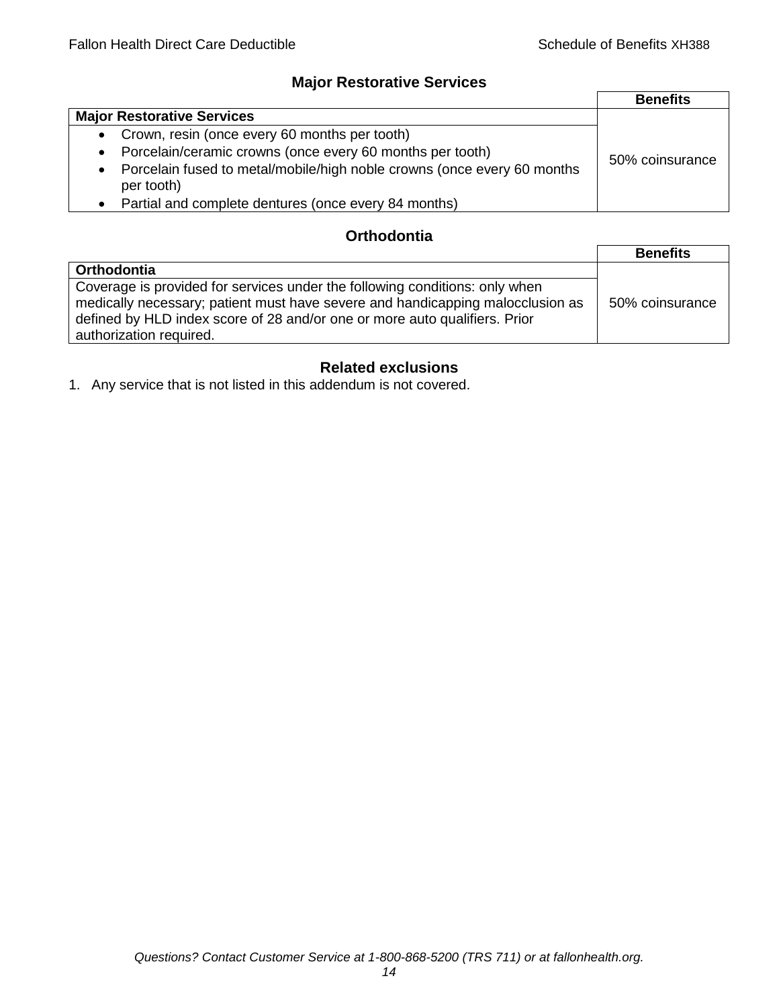## **Major Restorative Services**

|                                                                                                    | <b>Benefits</b> |
|----------------------------------------------------------------------------------------------------|-----------------|
| <b>Major Restorative Services</b>                                                                  |                 |
| • Crown, resin (once every 60 months per tooth)                                                    |                 |
| Porcelain/ceramic crowns (once every 60 months per tooth)<br>$\bullet$                             | 50% coinsurance |
| Porcelain fused to metal/mobile/high noble crowns (once every 60 months<br>$\bullet$<br>per tooth) |                 |
| • Partial and complete dentures (once every 84 months)                                             |                 |

## **Orthodontia**

|                                                                                                                                                                                                                                                                        | <b>Benefits</b> |
|------------------------------------------------------------------------------------------------------------------------------------------------------------------------------------------------------------------------------------------------------------------------|-----------------|
| <b>Orthodontia</b>                                                                                                                                                                                                                                                     |                 |
| Coverage is provided for services under the following conditions: only when<br>medically necessary; patient must have severe and handicapping malocclusion as<br>defined by HLD index score of 28 and/or one or more auto qualifiers. Prior<br>authorization required. | 50% coinsurance |

## **Related exclusions**

1. Any service that is not listed in this addendum is not covered.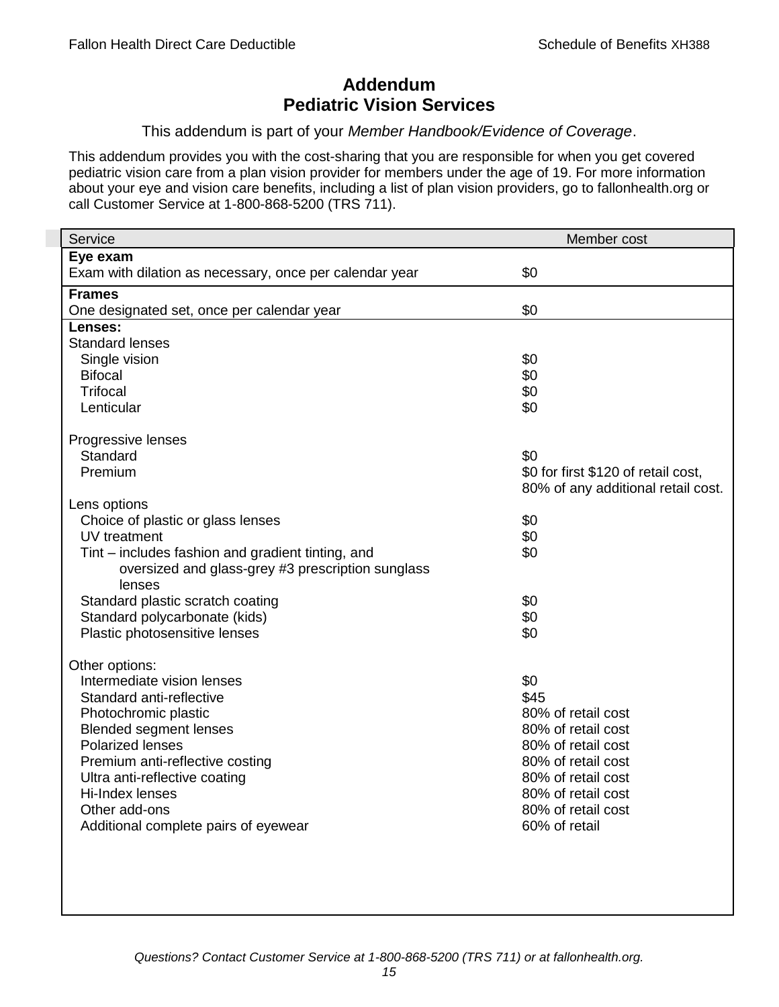## **Addendum Pediatric Vision Services**

#### This addendum is part of your *Member Handbook/Evidence of Coverage*.

This addendum provides you with the cost-sharing that you are responsible for when you get covered pediatric vision care from a plan vision provider for members under the age of 19. For more information about your eye and vision care benefits, including a list of plan vision providers, go to fallonhealth.org or call Customer Service at 1-800-868-5200 (TRS 711).

| Service                                                 | Member cost                         |
|---------------------------------------------------------|-------------------------------------|
| Eye exam                                                |                                     |
| Exam with dilation as necessary, once per calendar year | \$0                                 |
| <b>Frames</b>                                           |                                     |
| One designated set, once per calendar year              | \$0                                 |
| Lenses:                                                 |                                     |
| <b>Standard lenses</b>                                  |                                     |
| Single vision                                           | \$0                                 |
| <b>Bifocal</b>                                          | \$0                                 |
| <b>Trifocal</b>                                         | \$0                                 |
| Lenticular                                              | \$0                                 |
| Progressive lenses                                      |                                     |
| Standard                                                | \$0                                 |
| Premium                                                 | \$0 for first \$120 of retail cost, |
|                                                         | 80% of any additional retail cost.  |
| Lens options                                            |                                     |
| Choice of plastic or glass lenses                       | \$0                                 |
| UV treatment                                            | \$0                                 |
| Tint – includes fashion and gradient tinting, and       | \$0                                 |
| oversized and glass-grey #3 prescription sunglass       |                                     |
| lenses                                                  |                                     |
| Standard plastic scratch coating                        | \$0                                 |
| Standard polycarbonate (kids)                           | \$0                                 |
| Plastic photosensitive lenses                           | \$0                                 |
| Other options:                                          |                                     |
| Intermediate vision lenses                              | \$0                                 |
| Standard anti-reflective                                | \$45                                |
| Photochromic plastic                                    | 80% of retail cost                  |
| <b>Blended segment lenses</b>                           | 80% of retail cost                  |
| <b>Polarized lenses</b>                                 | 80% of retail cost                  |
| Premium anti-reflective costing                         | 80% of retail cost                  |
| Ultra anti-reflective coating                           | 80% of retail cost                  |
| Hi-Index lenses                                         | 80% of retail cost                  |
| Other add-ons                                           | 80% of retail cost                  |
| Additional complete pairs of eyewear                    | 60% of retail                       |
|                                                         |                                     |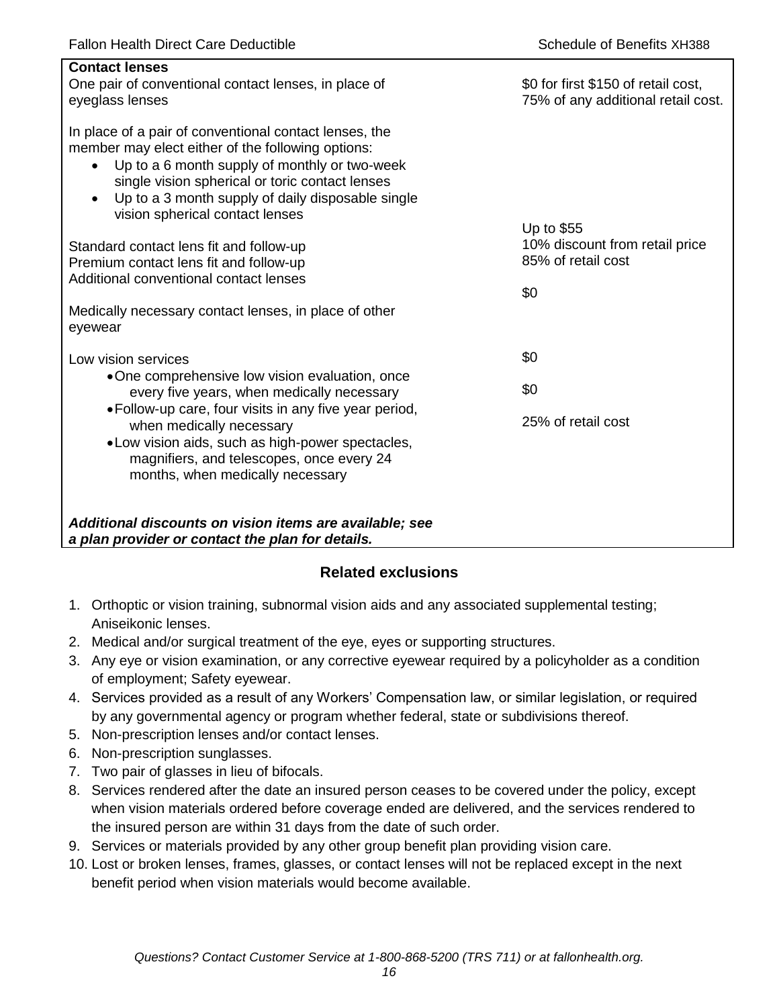| <b>Contact lenses</b><br>One pair of conventional contact lenses, in place of<br>eyeglass lenses                                                                                                                                                                                                                                  | \$0 for first \$150 of retail cost,<br>75% of any additional retail cost. |
|-----------------------------------------------------------------------------------------------------------------------------------------------------------------------------------------------------------------------------------------------------------------------------------------------------------------------------------|---------------------------------------------------------------------------|
| In place of a pair of conventional contact lenses, the<br>member may elect either of the following options:<br>Up to a 6 month supply of monthly or two-week<br>$\bullet$<br>single vision spherical or toric contact lenses<br>Up to a 3 month supply of daily disposable single<br>$\bullet$<br>vision spherical contact lenses |                                                                           |
| Standard contact lens fit and follow-up<br>Premium contact lens fit and follow-up                                                                                                                                                                                                                                                 | Up to \$55<br>10% discount from retail price<br>85% of retail cost        |
| Additional conventional contact lenses                                                                                                                                                                                                                                                                                            | \$0                                                                       |
| Medically necessary contact lenses, in place of other<br>eyewear                                                                                                                                                                                                                                                                  |                                                                           |
| Low vision services                                                                                                                                                                                                                                                                                                               | \$0                                                                       |
| •One comprehensive low vision evaluation, once<br>every five years, when medically necessary                                                                                                                                                                                                                                      | \$0                                                                       |
| • Follow-up care, four visits in any five year period,<br>when medically necessary<br>• Low vision aids, such as high-power spectacles,<br>magnifiers, and telescopes, once every 24<br>months, when medically necessary                                                                                                          | 25% of retail cost                                                        |
| Additional discounts on vision items are available; see<br>a plan provider or contact the plan for details.                                                                                                                                                                                                                       |                                                                           |

## **Related exclusions**

- 1. Orthoptic or vision training, subnormal vision aids and any associated supplemental testing; Aniseikonic lenses.
- 2. Medical and/or surgical treatment of the eye, eyes or supporting structures.
- 3. Any eye or vision examination, or any corrective eyewear required by a policyholder as a condition of employment; Safety eyewear.
- 4. Services provided as a result of any Workers' Compensation law, or similar legislation, or required by any governmental agency or program whether federal, state or subdivisions thereof.
- 5. Non-prescription lenses and/or contact lenses.
- 6. Non-prescription sunglasses.
- 7. Two pair of glasses in lieu of bifocals.
- 8. Services rendered after the date an insured person ceases to be covered under the policy, except when vision materials ordered before coverage ended are delivered, and the services rendered to the insured person are within 31 days from the date of such order.
- 9. Services or materials provided by any other group benefit plan providing vision care.
- 10. Lost or broken lenses, frames, glasses, or contact lenses will not be replaced except in the next benefit period when vision materials would become available.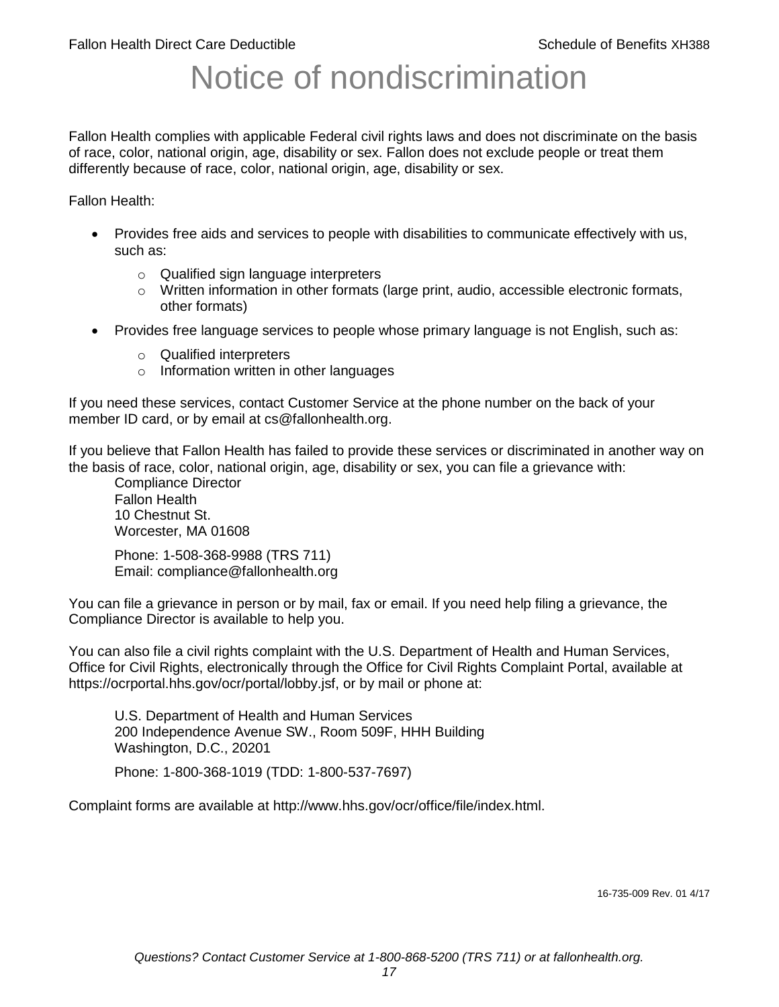# Notice of nondiscrimination

Fallon Health complies with applicable Federal civil rights laws and does not discriminate on the basis of race, color, national origin, age, disability or sex. Fallon does not exclude people or treat them differently because of race, color, national origin, age, disability or sex.

Fallon Health:

- Provides free aids and services to people with disabilities to communicate effectively with us, such as:
	- o Qualified sign language interpreters
	- $\circ$  Written information in other formats (large print, audio, accessible electronic formats, other formats)
- Provides free language services to people whose primary language is not English, such as:
	- o Qualified interpreters
	- o Information written in other languages

If you need these services, contact Customer Service at the phone number on the back of your member ID card, or by email at cs@fallonhealth.org.

If you believe that Fallon Health has failed to provide these services or discriminated in another way on the basis of race, color, national origin, age, disability or sex, you can file a grievance with:

Compliance Director Fallon Health 10 Chestnut St. Worcester, MA 01608

Phone: 1-508-368-9988 (TRS 711) Email: compliance@fallonhealth.org

You can file a grievance in person or by mail, fax or email. If you need help filing a grievance, the Compliance Director is available to help you.

You can also file a civil rights complaint with the U.S. Department of Health and Human Services, Office for Civil Rights, electronically through the Office for Civil Rights Complaint Portal, available at https://ocrportal.hhs.gov/ocr/portal/lobby.jsf, or by mail or phone at:

U.S. Department of Health and Human Services 200 Independence Avenue SW., Room 509F, HHH Building Washington, D.C., 20201

Phone: 1-800-368-1019 (TDD: 1-800-537-7697)

Complaint forms are available at http://www.hhs.gov/ocr/office/file/index.html.

16-735-009 Rev. 01 4/17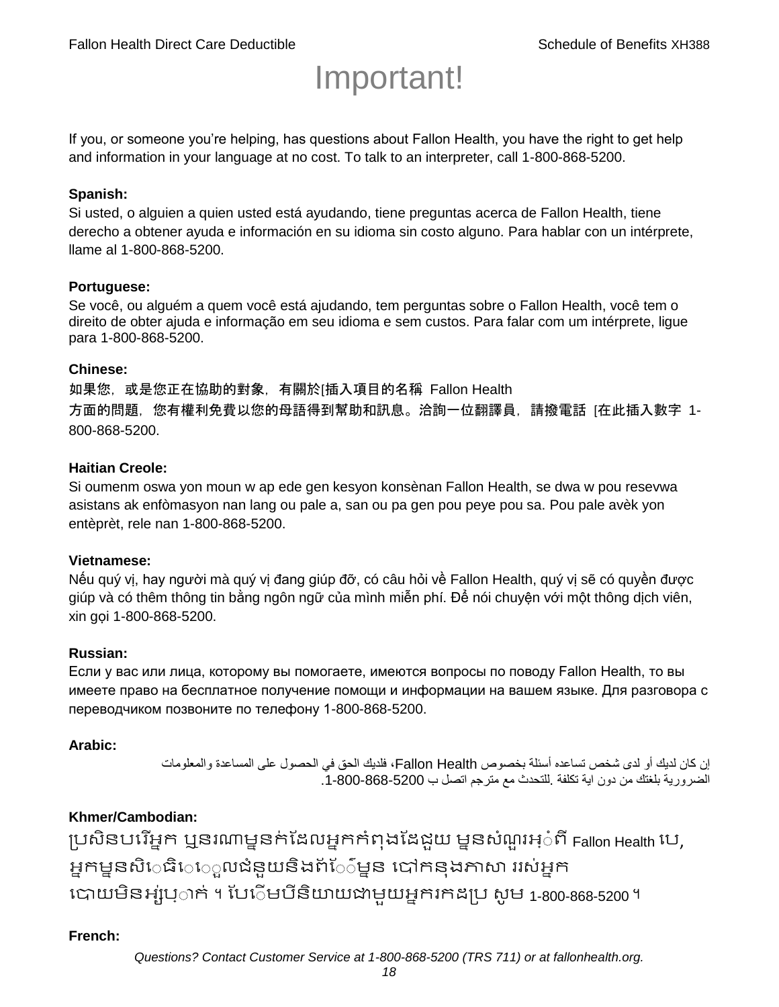# Important!

If you, or someone you're helping, has questions about Fallon Health, you have the right to get help and information in your language at no cost. To talk to an interpreter, call 1-800-868-5200.

#### **Spanish:**

Si usted, o alguien a quien usted está ayudando, tiene preguntas acerca de Fallon Health, tiene derecho a obtener ayuda e información en su idioma sin costo alguno. Para hablar con un intérprete, llame al 1-800-868-5200.

#### **Portuguese:**

Se você, ou alguém a quem você está ajudando, tem perguntas sobre o Fallon Health, você tem o direito de obter ajuda e informação em seu idioma e sem custos. Para falar com um intérprete, ligue para 1-800-868-5200.

#### **Chinese:**

如果您,或是您正在協助的對象,有關於[插入項目的名稱 Fallon Health 方面的問題, 您有權利免費以您的母語得到幫助和訊息。洽詢一位翻譯員, 請撥電話 [在此插入數字 1-800-868-5200.

#### **Haitian Creole:**

Si oumenm oswa yon moun w ap ede gen kesyon konsènan Fallon Health, se dwa w pou resevwa asistans ak enfòmasyon nan lang ou pale a, san ou pa gen pou peye pou sa. Pou pale avèk yon entèprèt, rele nan 1-800-868-5200.

#### **Vietnamese:**

Nếu quý vị, hay người mà quý vị đang giúp đỡ, có câu hỏi về Fallon Health, quý vị sẽ có quyền được giúp và có thêm thông tin bằng ngôn ngữ của mình miễn phí. Để nói chuyện với một thông dịch viên, xin gọi 1-800-868-5200.

#### **Russian:**

Если у вас или лица, которому вы помогаете, имеются вопросы по поводу Fallon Health, то вы имеете право на бесплатное получение помощи и информации на вашем языке. Для разговора с переводчиком позвоните по телефону 1-800-868-5200.

#### **Arabic:**

إن كان لديك أو لدى شخص تساعده أسئلة بخصوص Health Fallon، فلديك الحق في الحصول على المساعدة والمعلومات الضرورية بلغتك من دون اية تكلفة .للتحدث مع مترجم اتصل ب .1-800-868-5200

#### **Khmer/Cambodian:**

ប្រសិនបរើអ្នក ឬនរណាម្ននក់ដែលអ្នកកំពុងដែជយ ម្ននសំណួរអ្៎ពី Fallon Health រប, អ្នកម្មនសិេធិេេ្លលជំនួយនិងព័ែ៌ម្នន បៅកនុងភាសា ររស់អ្នក រោយម្ិនអ្ស់រ្ំ ក់ ។ ដររំម្ រនី ិយាយជាម្ួយអ្នក កែប្រ សូ ម្ 1-800-868-5200 ។

#### **French:**